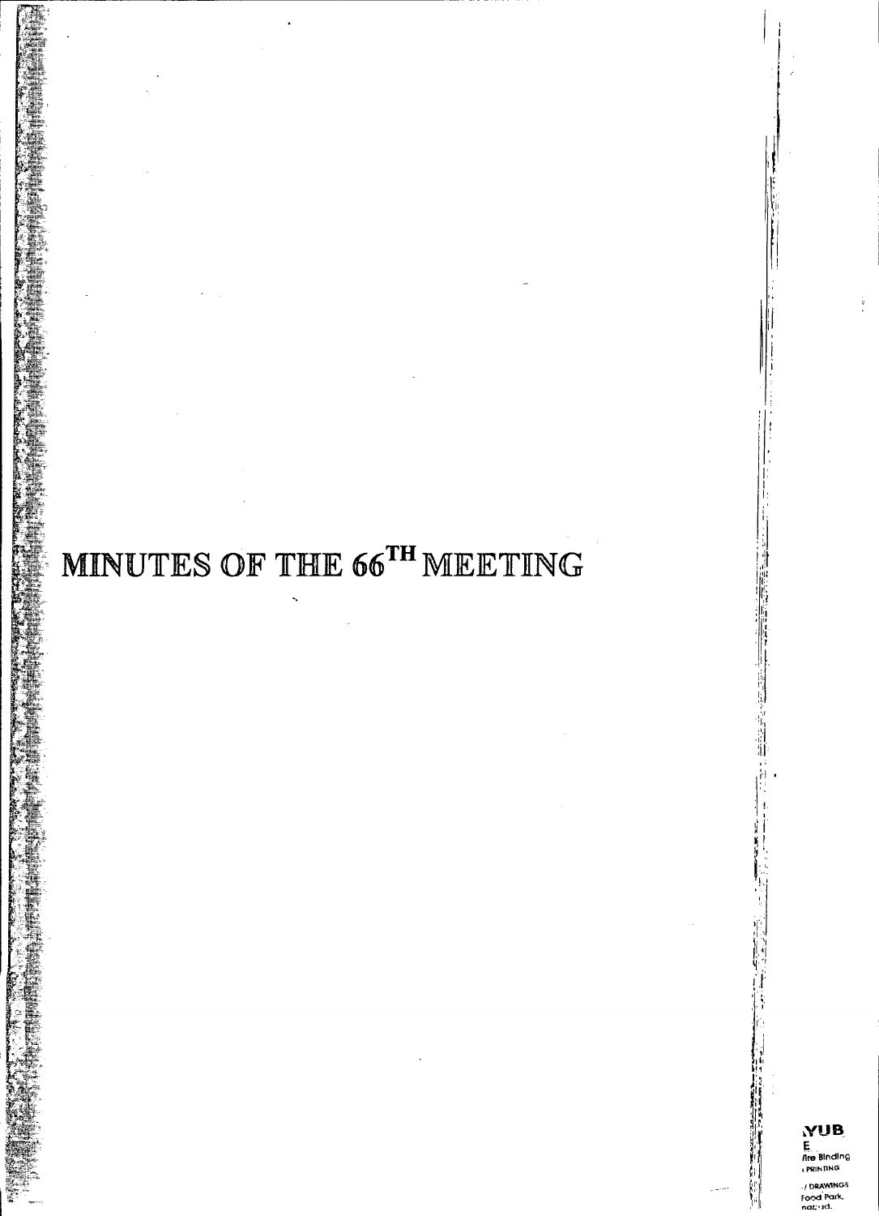# **MINUTES OF THE 66TH MEETING**

/ DRAWINGS Food Parl<br>nat: 1d.

'.

**I** 

:1

 $, \cdot \cdot$ ili

> I: I I:

0' r: '

H

i<br>H

**II:~** *li,:1* ~.• "  $\mathbf{f}$  ,  $\mathcal{V}_t$ I, " ,  $\bf{r}$ , i ,;1 ,"'1  $\frac{1}{2}$ 

 $H^{\rm eff}$  ,  $^{\prime\prime}$ ' $\mathfrak{c}_i$  :  $\mathfrak{l}$ 

!01'/ ~'rl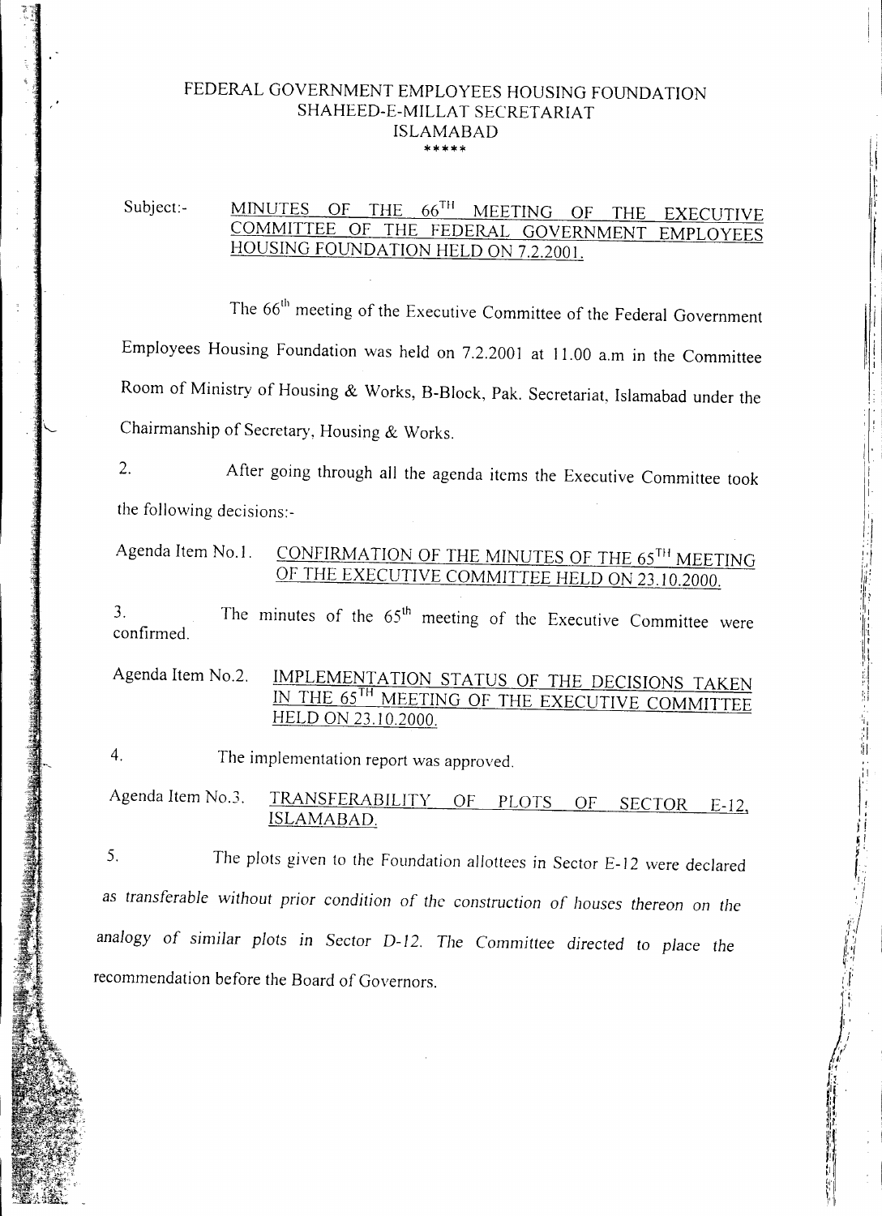#### FEDERAL GOVERNMENT EMPLOYEES HOUSING FOUNDATION SHAHEED-E-MILLAT SECRETARIAT ISLAMABAD \*\*\*\*\*

### Subject:- MINUTES OF THE 66<sup>TH</sup> MEETING OF THE EXECUTIVE COMMITTEE OF THE FEDERAL GOVERNMENT EMPLOYEES HOUSING FOUNDATION HELD ON 7.2.2001.

The 66<sup>th</sup> meeting of the Executive Committee of the Federal Governmen Employees Housing Foundation was held on 7.2.2001 at 11.00 a.m in the Committee Chairmanship of Secretary, Housing & Works. Room of Ministry of Housing & Works, B-Block, Pak. Secretariat, Islamabad under the

'/

il i

I I

电推进时间 医光带状态的过去式和过去分词

2. After going through all the agenda items the Executive Committee took the following decisions:-

# Agenda Item No.1. CONFIRMATION OF THE MINUTES OF THE 65<sup>TH</sup> MEETING OF THE EXECUTIVE COMMITTEE HELD ON 23.10.2000.

The minutes of the  $65<sup>th</sup>$  meeting of the Executive Committee were 3. confirmed.

Agenda Item No.2. IMPLEMENTATION STATUS OF THE DECISIONS TAKEN IN THE 65TH MEETING OF THE EXECUTIVE COMMITTEE HELD ON 23.10.2000.

The implementation report was approved. 4.

Agenda Item No.3. TRANSFERABILITY OF PLOTS OF SECTOR E-12, ISLAMABAD.

recommendation before the Board of Governors. The plots given to the Foundation allottees in Sector E-12 were declared 5. as *transferable without prior condition* of *the construction* of *houses thereon on the analogy* of *similar plots in Sector* D-12. *The Committee directed to place the*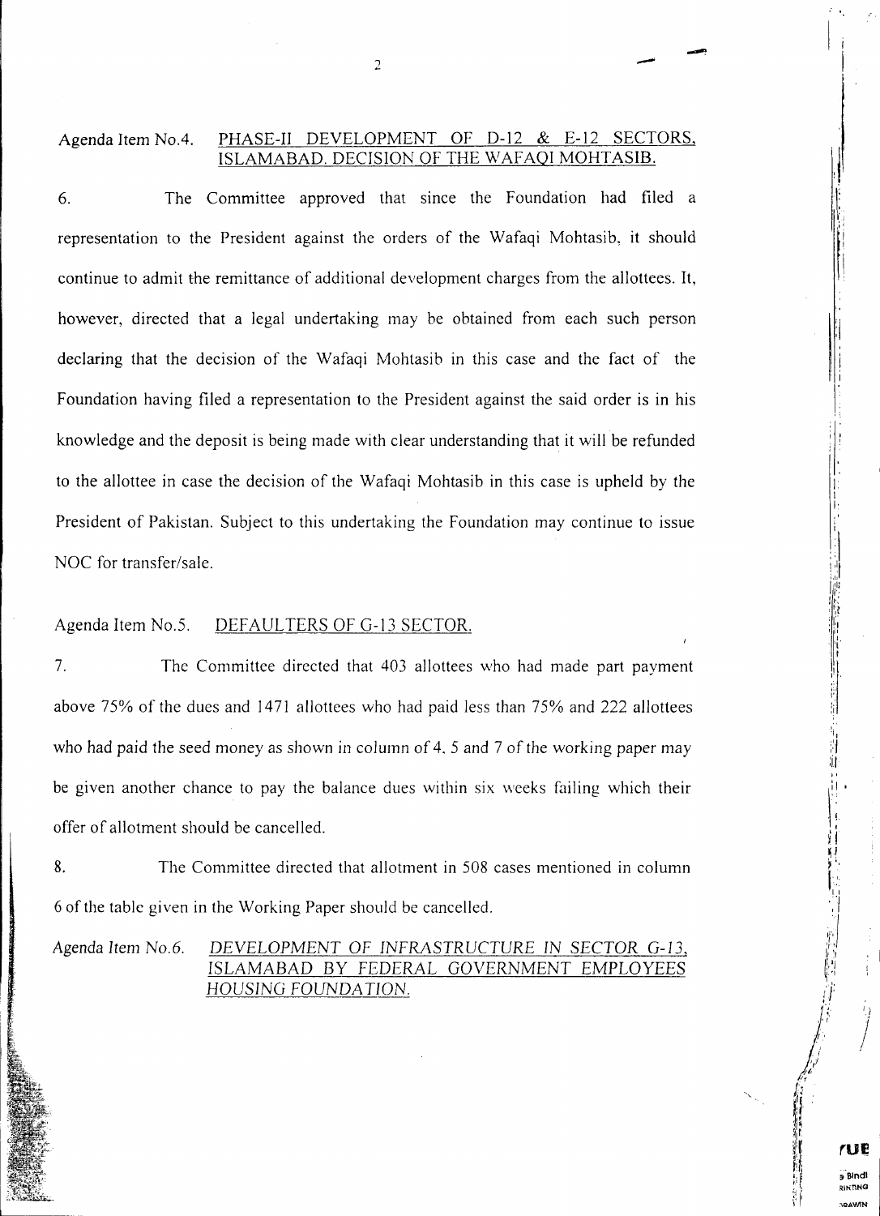#### Agenda Item No.4. PHASE-II DEVELOPMENT OF D-12 & E-12 SECTORS, ISLAMABAD. DECISION OF THE WAFAQI MOHTASIB.

 $\overline{\phantom{a}}$ 

The Committee approved that since the Foundation had filed a 6. NOC for transfer/sale. to the allottee in case the decision of the Wafaqi Mohtasib in this case is upheld by the knowledge and the deposit is being made with clear understanding that it will be refunded President of Pakistan. Subject to this undertaking the Foundation may continue to issue Foundation having filed a representation to the President against the said order is in his representation to the President against the orders of the Wafaqi Mohtasib, it should declaring that the decision of the Wafaqi Mohtasib in this case and the fact of the however, directed that a legal undertaking may be obtained from each such person continue to admit the remittance of additional development charges from the allottees. It,

#### Agenda Item NO.5. DEFAULTERS OF G-13 SECTOR.

offer of allotment should be cancelled. The Committee directed that 403 allottees who had made part payment 7. above 75% of the dues and 1471 allottees who had paid less than 75% and 222 allottees who had paid the seed money as shown in column of 4, 5 and 7 of the working paper may be given another chance to pay the balance dues within six weeks failing which their

The Committee directed that allotment in 508 cases mentioned in column 6 of the table given in the Working Paper should be cancelled. 8.

Agenda Item *NO.6. DEVELOPMENT* OF *INFRASTRUCTURE* IN *SECTOR* G-13, ISLAMABAD BY *FEDERAL* GOVERNMENT EMPLOYEES HOUSING *FOUNDA TION.*

I.

, :

'H

...

I 1 I,

"

 $^\dagger$ I!.. , !  $\prod_{i=1}^{n}$  $\frac{1}{2}$ 

 $\mathbf{I}_1$ , I

1i',1 'r "  $\mathsf{F}$  $\mu_{\rm I}$ ~.'I /.j'  $, '$ ," "  $^{\prime\prime}$  ,

*I l*

**rUE**

Bindi **INTHO**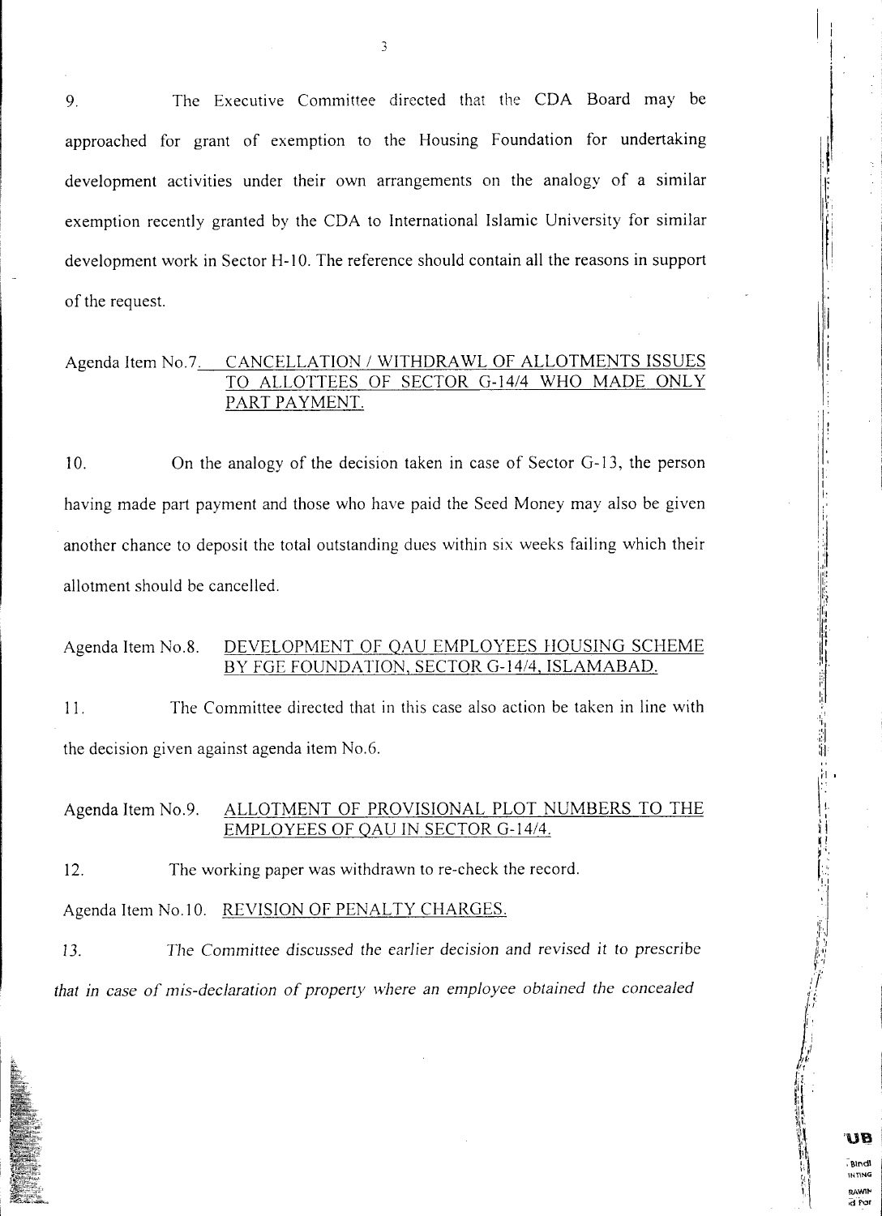9. The Executive Committee directed that the CDA Board may be approached for grant of exemption to the Housing Foundation for undertaking development activities under their own arrangements on the analogy of a similar exemption recently granted by the CDA to International Islamic University for similar development work in Sector H-10. The reference should contain all the reasons in support of the request.

 $\overline{\mathbf{3}}$ 

#### Agenda Item No.7. CANCELLATION / WITHDRAWL OF ALLOTMENTS ISSUES TO ALLOTTEES OF SECTOR G-14/4 WHO MADE ONLY PART PAYMENT.

, i '|i

> I I I.

> > ~1\1"dl **ItinNG**

> > > **DAVAP** a Par

'Uil

allotment should be cancelled. On the analogy of the decision taken in case of Sector G-13, the person 10. having made part payment and those who have paid the Seed Money may also be given another chance to deposit the total outstanding dues within six weeks failing which their

#### Agenda Item No.8. DEVELOPMENT OF QAU EMPLOYEES HOUSING SCHEME BY FGE FOUNDATION, SECTOR G-14/4, ISLAMABAD.

the decision given against agenda item No.6. The Committee directed that in this case also action be taken in line with 11.

#### Agenda Item No.9. ALLOTMENT OF PROVISIONAL PLOT NUMBERS TO THE EMPLOYEES OF QAU IN SECTOR G-14/4.

The working paper was withdrawn to re-check the record. 12.

Agenda Item No.10. REVISION OF PENALTY CHARGES.

*The Committee* discussed *the earlier* decision *and* revised it to prescribe 13. *that in case of mis-declaration of property vvhere an employee obtained the concealed*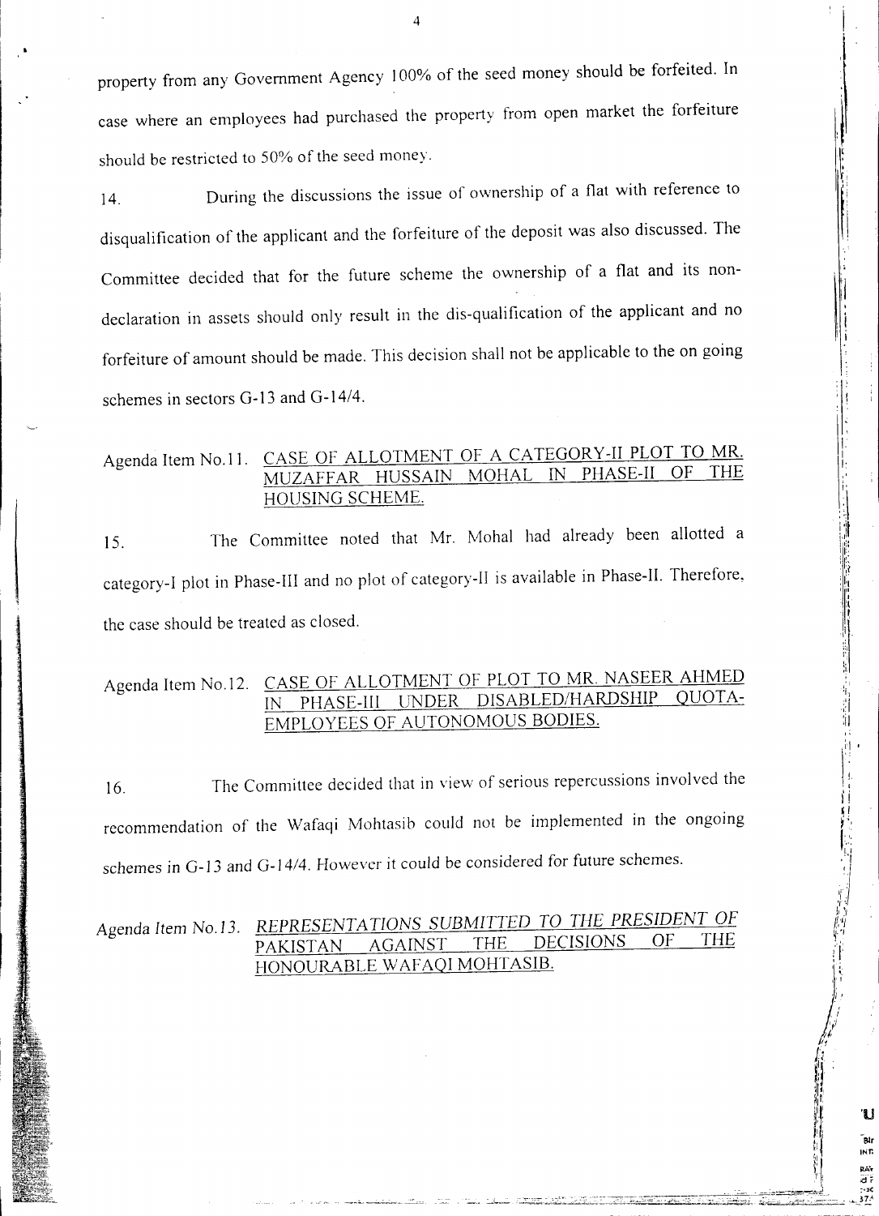should be restricted to 50% of the seed money. case where an employees had purchased the property from open market the forfeiture property from any Government Agency 100% of the seed money should be forfeited. In

,I.

~

. i I'  $\mathbb{I}$  i

 $\frac{1}{2}$ 

I: II I:

'U

14. During the discussions the issue of ownership of a flat with reference to disqualification of the applicant and the forfeiture of the deposit was also discussed. The Committee decided that for the future scheme the ownership of a flat and its nondeclaration in assets should only result in the dis-qualification of the applicant and no forfeiture of amount should be made. This decision shall not be applicable to the on going schemes in sectors G-13 and G-14/4.

Agenda Item No.11. CASE OF ALLOTMENT OF A CATEGORY-II PLOT TO MR. MUZAFFAR HUSSAIN MOHAL IN PHASE-II OF HOUSING SCHEME.

The Committee noted that Mr. Mohal had already been allotted a 15. the case should be treated as closed. category-I plot in Phase-III and no plot of category-II is available in Phase-II. Therefore,

## Agenda Item No.12. CASE OF ALLOTMENT OF PLOT TO MR. NASEER AHMED IN PHASE-III UNDER DISABLED/HARDSHIP EMPLOYEES OF AUTONOMOUS BODIES.

The Committee decided that in view of serious repercussions involved the 16. schemes in G-13 and G-14/4. However it could be considered for future schemes. recommendation of the Wafaqi Mohtasib could not be implemented in the ongoing

## Agenda Item NO.13. *REPRESENTATIONS SUBMITTED TO THE PRESIDENT OF* PAKISTAN AGAINST THE HONOURABLE WAFAQI MOHTASIB.

4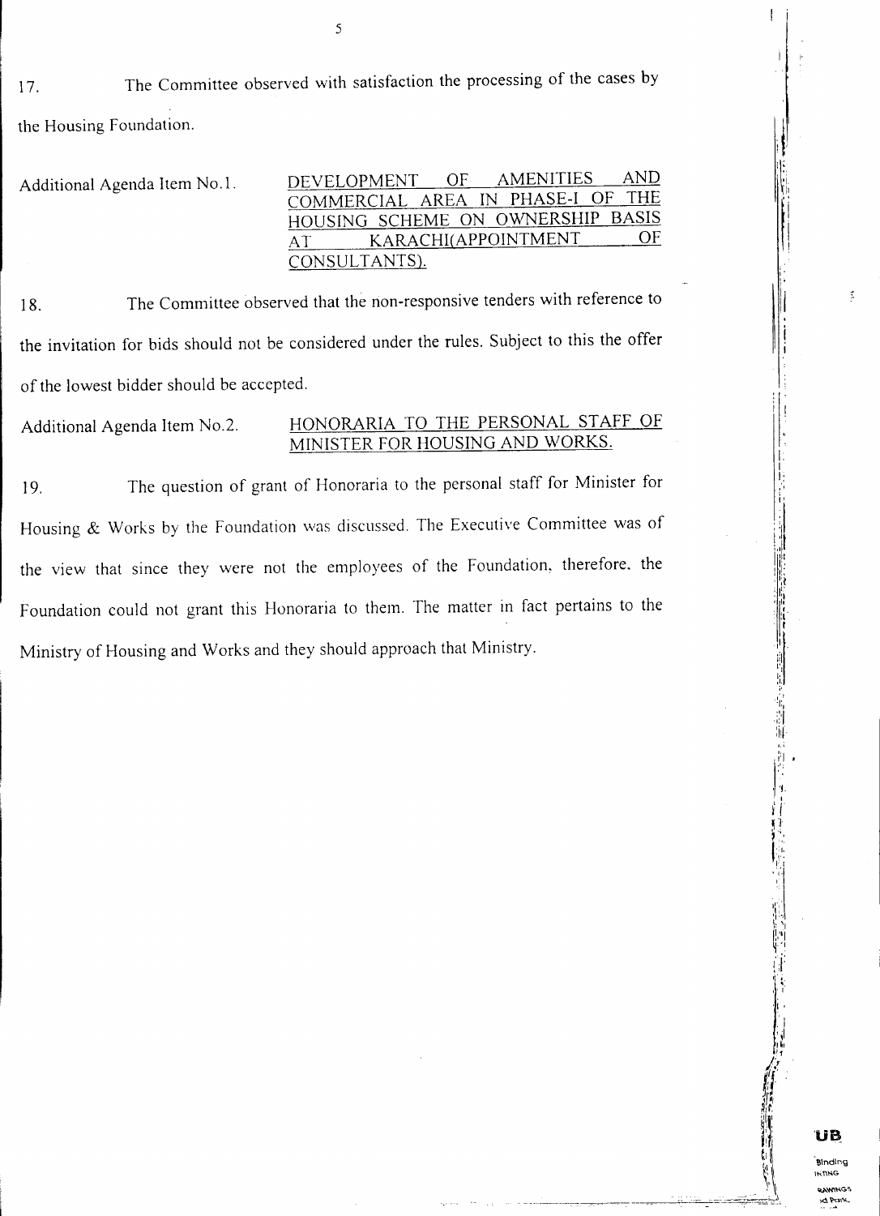17. The Committee observed with satisfaction the processing of the cases by the Housing Foundation.

| Additional Agenda Item No.1. | AND.<br>DEVELOPMENT OF AMENITIES  |
|------------------------------|-----------------------------------|
|                              | COMMERCIAL AREA IN PHASE-I OF THE |
|                              | HOUSING SCHEME ON OWNERSHIP BASIS |
|                              | OF<br>KARACHI(APPOINTMENT         |
|                              | CONSULTANTS).                     |

18. The Committee observed that the non-responsive tenders with reference to the invitation for bids should not be considered under the rules. Subject to this the offer of the lowest bidder should be accepted.

Additional Agenda Item NO.2. HONORARIA TO THE PERSONAL STAFF OF MINISTER FOR HOUSING AND WORKS.

19. The question of grant of Honoraria to the personal staff for Minister for Housing & Works by the Foundation was discussed. The Executive Committee was of the view that since they were not the employees of the Foundation, therefore. the Foundation could not grant this Honoraria to them. The matter in fact pertains to the Ministry of Housing and Works and they should approach that Ministry.

5

'I'

I .

 $: 1.$ ! ! ! l I :

> I, I I,: